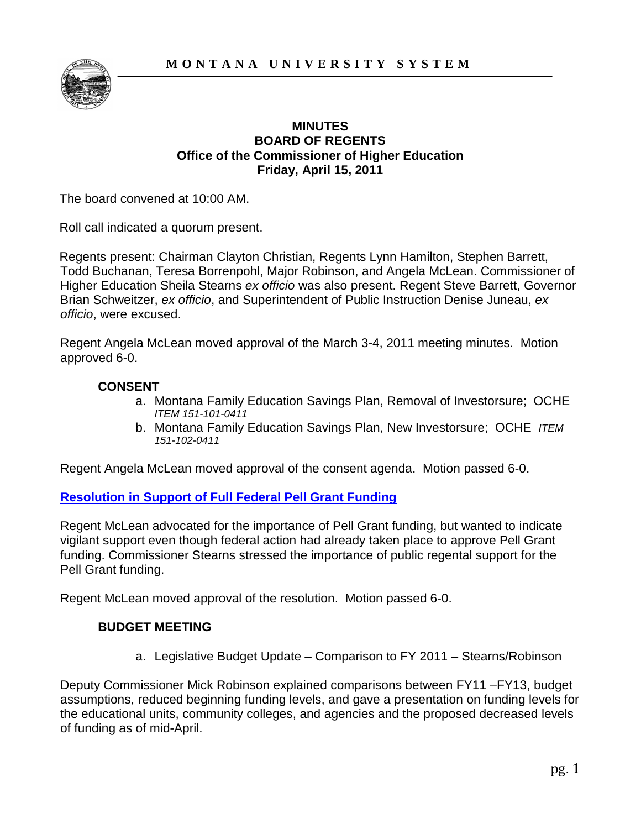

#### **MINUTES BOARD OF REGENTS Office of the Commissioner of Higher Education Friday, April 15, 2011**

The board convened at 10:00 AM.

Roll call indicated a quorum present.

Regents present: Chairman Clayton Christian, Regents Lynn Hamilton, Stephen Barrett, Todd Buchanan, Teresa Borrenpohl, Major Robinson, and Angela McLean. Commissioner of Higher Education Sheila Stearns *ex officio* was also present. Regent Steve Barrett, Governor Brian Schweitzer, *ex officio*, and Superintendent of Public Instruction Denise Juneau, *ex officio*, were excused.

Regent Angela McLean moved approval of the March 3-4, 2011 meeting minutes. Motion approved 6-0.

## **CONSENT**

- a. Montana Family Education Savings Plan, Removal of Investorsure; OCHE *ITEM 151-101-0411*
- b. Montana Family Education Savings Plan, New Investorsure; OCHE *ITEM 151-102-0411*

Regent Angela McLean moved approval of the consent agenda. Motion passed 6-0.

## **[Resolution in Support of Full Federal Pell Grant Funding](#page-6-0)**

Regent McLean advocated for the importance of Pell Grant funding, but wanted to indicate vigilant support even though federal action had already taken place to approve Pell Grant funding. Commissioner Stearns stressed the importance of public regental support for the Pell Grant funding.

Regent McLean moved approval of the resolution. Motion passed 6-0.

## **BUDGET MEETING**

a. Legislative Budget Update – Comparison to FY 2011 – Stearns/Robinson

Deputy Commissioner Mick Robinson explained comparisons between FY11 –FY13, budget assumptions, reduced beginning funding levels, and gave a presentation on funding levels for the educational units, community colleges, and agencies and the proposed decreased levels of funding as of mid-April.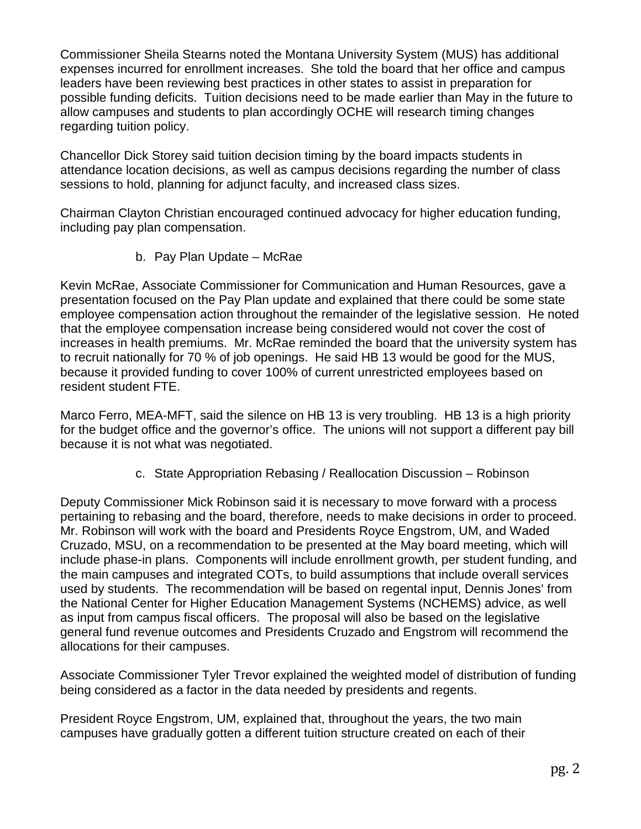Commissioner Sheila Stearns noted the Montana University System (MUS) has additional expenses incurred for enrollment increases. She told the board that her office and campus leaders have been reviewing best practices in other states to assist in preparation for possible funding deficits. Tuition decisions need to be made earlier than May in the future to allow campuses and students to plan accordingly OCHE will research timing changes regarding tuition policy.

Chancellor Dick Storey said tuition decision timing by the board impacts students in attendance location decisions, as well as campus decisions regarding the number of class sessions to hold, planning for adjunct faculty, and increased class sizes.

Chairman Clayton Christian encouraged continued advocacy for higher education funding, including pay plan compensation.

b. Pay Plan Update – McRae

Kevin McRae, Associate Commissioner for Communication and Human Resources, gave a presentation focused on the Pay Plan update and explained that there could be some state employee compensation action throughout the remainder of the legislative session. He noted that the employee compensation increase being considered would not cover the cost of increases in health premiums. Mr. McRae reminded the board that the university system has to recruit nationally for 70 % of job openings. He said HB 13 would be good for the MUS, because it provided funding to cover 100% of current unrestricted employees based on resident student FTE.

Marco Ferro, MEA-MFT, said the silence on HB 13 is very troubling. HB 13 is a high priority for the budget office and the governor's office. The unions will not support a different pay bill because it is not what was negotiated.

c. State Appropriation Rebasing / Reallocation Discussion – Robinson

Deputy Commissioner Mick Robinson said it is necessary to move forward with a process pertaining to rebasing and the board, therefore, needs to make decisions in order to proceed. Mr. Robinson will work with the board and Presidents Royce Engstrom, UM, and Waded Cruzado, MSU, on a recommendation to be presented at the May board meeting, which will include phase-in plans. Components will include enrollment growth, per student funding, and the main campuses and integrated COTs, to build assumptions that include overall services used by students. The recommendation will be based on regental input, Dennis Jones' from the National Center for Higher Education Management Systems (NCHEMS) advice, as well as input from campus fiscal officers. The proposal will also be based on the legislative general fund revenue outcomes and Presidents Cruzado and Engstrom will recommend the allocations for their campuses.

Associate Commissioner Tyler Trevor explained the weighted model of distribution of funding being considered as a factor in the data needed by presidents and regents.

President Royce Engstrom, UM, explained that, throughout the years, the two main campuses have gradually gotten a different tuition structure created on each of their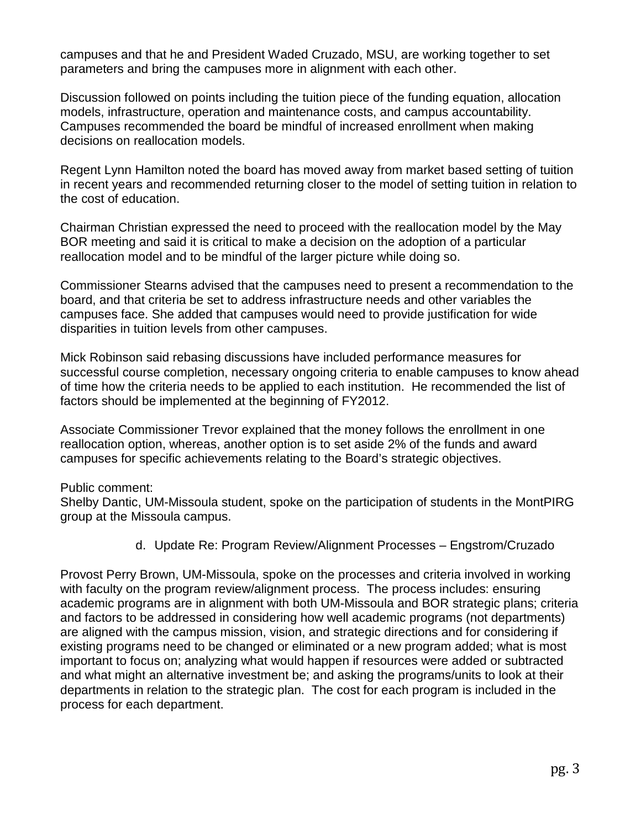campuses and that he and President Waded Cruzado, MSU, are working together to set parameters and bring the campuses more in alignment with each other.

Discussion followed on points including the tuition piece of the funding equation, allocation models, infrastructure, operation and maintenance costs, and campus accountability. Campuses recommended the board be mindful of increased enrollment when making decisions on reallocation models.

Regent Lynn Hamilton noted the board has moved away from market based setting of tuition in recent years and recommended returning closer to the model of setting tuition in relation to the cost of education.

Chairman Christian expressed the need to proceed with the reallocation model by the May BOR meeting and said it is critical to make a decision on the adoption of a particular reallocation model and to be mindful of the larger picture while doing so.

Commissioner Stearns advised that the campuses need to present a recommendation to the board, and that criteria be set to address infrastructure needs and other variables the campuses face. She added that campuses would need to provide justification for wide disparities in tuition levels from other campuses.

Mick Robinson said rebasing discussions have included performance measures for successful course completion, necessary ongoing criteria to enable campuses to know ahead of time how the criteria needs to be applied to each institution. He recommended the list of factors should be implemented at the beginning of FY2012.

Associate Commissioner Trevor explained that the money follows the enrollment in one reallocation option, whereas, another option is to set aside 2% of the funds and award campuses for specific achievements relating to the Board's strategic objectives.

Public comment:

Shelby Dantic, UM-Missoula student, spoke on the participation of students in the MontPIRG group at the Missoula campus.

d. Update Re: Program Review/Alignment Processes – Engstrom/Cruzado

Provost Perry Brown, UM-Missoula, spoke on the processes and criteria involved in working with faculty on the program review/alignment process. The process includes: ensuring academic programs are in alignment with both UM-Missoula and BOR strategic plans; criteria and factors to be addressed in considering how well academic programs (not departments) are aligned with the campus mission, vision, and strategic directions and for considering if existing programs need to be changed or eliminated or a new program added; what is most important to focus on; analyzing what would happen if resources were added or subtracted and what might an alternative investment be; and asking the programs/units to look at their departments in relation to the strategic plan. The cost for each program is included in the process for each department.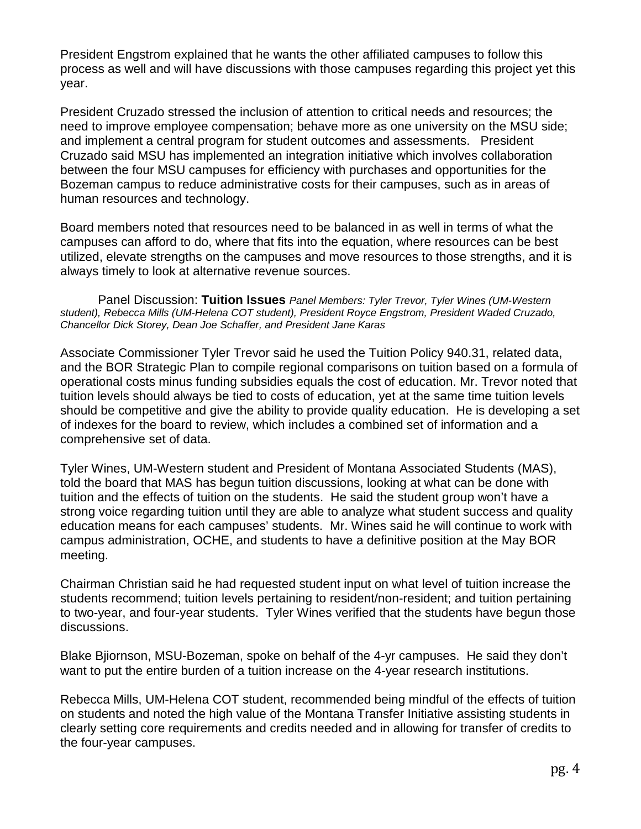President Engstrom explained that he wants the other affiliated campuses to follow this process as well and will have discussions with those campuses regarding this project yet this year.

President Cruzado stressed the inclusion of attention to critical needs and resources; the need to improve employee compensation; behave more as one university on the MSU side; and implement a central program for student outcomes and assessments. President Cruzado said MSU has implemented an integration initiative which involves collaboration between the four MSU campuses for efficiency with purchases and opportunities for the Bozeman campus to reduce administrative costs for their campuses, such as in areas of human resources and technology.

Board members noted that resources need to be balanced in as well in terms of what the campuses can afford to do, where that fits into the equation, where resources can be best utilized, elevate strengths on the campuses and move resources to those strengths, and it is always timely to look at alternative revenue sources.

Panel Discussion: **Tuition Issues** *Panel Members: Tyler Trevor, Tyler Wines (UM-Western student), Rebecca Mills (UM-Helena COT student), President Royce Engstrom, President Waded Cruzado, Chancellor Dick Storey, Dean Joe Schaffer, and President Jane Karas*

Associate Commissioner Tyler Trevor said he used the Tuition Policy 940.31, related data, and the BOR Strategic Plan to compile regional comparisons on tuition based on a formula of operational costs minus funding subsidies equals the cost of education. Mr. Trevor noted that tuition levels should always be tied to costs of education, yet at the same time tuition levels should be competitive and give the ability to provide quality education. He is developing a set of indexes for the board to review, which includes a combined set of information and a comprehensive set of data.

Tyler Wines, UM-Western student and President of Montana Associated Students (MAS), told the board that MAS has begun tuition discussions, looking at what can be done with tuition and the effects of tuition on the students. He said the student group won't have a strong voice regarding tuition until they are able to analyze what student success and quality education means for each campuses' students. Mr. Wines said he will continue to work with campus administration, OCHE, and students to have a definitive position at the May BOR meeting.

Chairman Christian said he had requested student input on what level of tuition increase the students recommend; tuition levels pertaining to resident/non-resident; and tuition pertaining to two-year, and four-year students. Tyler Wines verified that the students have begun those discussions.

Blake Bjiornson, MSU-Bozeman, spoke on behalf of the 4-yr campuses. He said they don't want to put the entire burden of a tuition increase on the 4-year research institutions.

Rebecca Mills, UM-Helena COT student, recommended being mindful of the effects of tuition on students and noted the high value of the Montana Transfer Initiative assisting students in clearly setting core requirements and credits needed and in allowing for transfer of credits to the four-year campuses.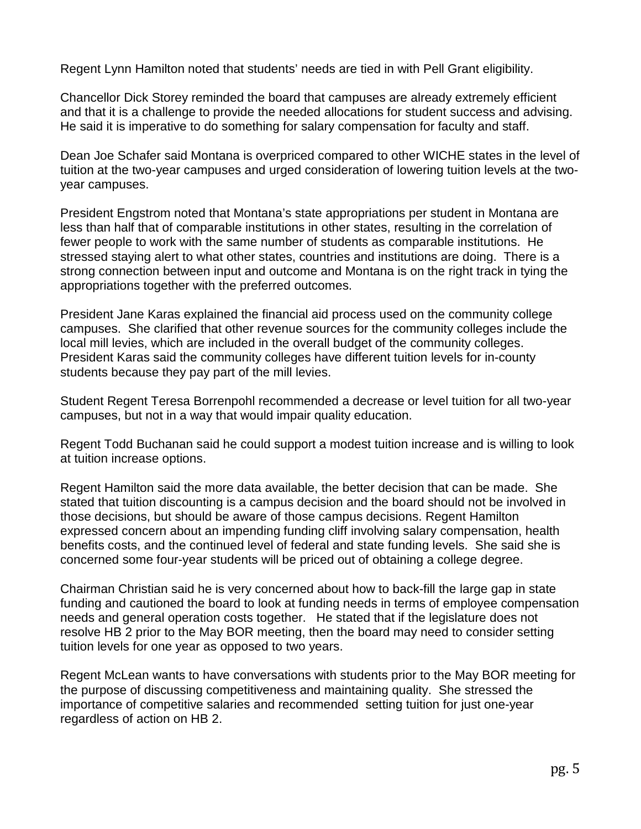Regent Lynn Hamilton noted that students' needs are tied in with Pell Grant eligibility.

Chancellor Dick Storey reminded the board that campuses are already extremely efficient and that it is a challenge to provide the needed allocations for student success and advising. He said it is imperative to do something for salary compensation for faculty and staff.

Dean Joe Schafer said Montana is overpriced compared to other WICHE states in the level of tuition at the two-year campuses and urged consideration of lowering tuition levels at the twoyear campuses.

President Engstrom noted that Montana's state appropriations per student in Montana are less than half that of comparable institutions in other states, resulting in the correlation of fewer people to work with the same number of students as comparable institutions. He stressed staying alert to what other states, countries and institutions are doing. There is a strong connection between input and outcome and Montana is on the right track in tying the appropriations together with the preferred outcomes.

President Jane Karas explained the financial aid process used on the community college campuses. She clarified that other revenue sources for the community colleges include the local mill levies, which are included in the overall budget of the community colleges. President Karas said the community colleges have different tuition levels for in-county students because they pay part of the mill levies.

Student Regent Teresa Borrenpohl recommended a decrease or level tuition for all two-year campuses, but not in a way that would impair quality education.

Regent Todd Buchanan said he could support a modest tuition increase and is willing to look at tuition increase options.

Regent Hamilton said the more data available, the better decision that can be made. She stated that tuition discounting is a campus decision and the board should not be involved in those decisions, but should be aware of those campus decisions. Regent Hamilton expressed concern about an impending funding cliff involving salary compensation, health benefits costs, and the continued level of federal and state funding levels. She said she is concerned some four-year students will be priced out of obtaining a college degree.

Chairman Christian said he is very concerned about how to back-fill the large gap in state funding and cautioned the board to look at funding needs in terms of employee compensation needs and general operation costs together. He stated that if the legislature does not resolve HB 2 prior to the May BOR meeting, then the board may need to consider setting tuition levels for one year as opposed to two years.

Regent McLean wants to have conversations with students prior to the May BOR meeting for the purpose of discussing competitiveness and maintaining quality. She stressed the importance of competitive salaries and recommended setting tuition for just one-year regardless of action on HB 2.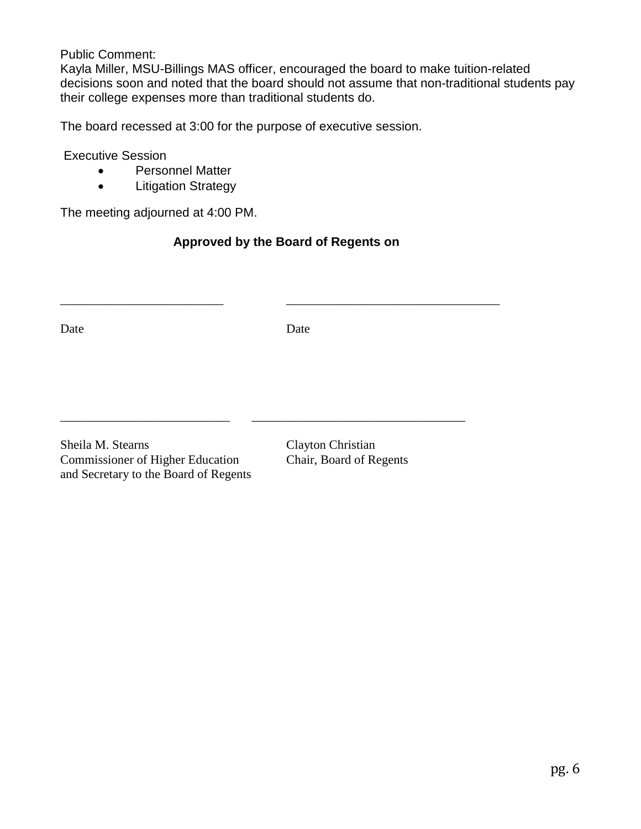#### Public Comment:

Kayla Miller, MSU-Billings MAS officer, encouraged the board to make tuition-related decisions soon and noted that the board should not assume that non-traditional students pay their college expenses more than traditional students do.

The board recessed at 3:00 for the purpose of executive session.

Executive Session

- Personnel Matter
- Litigation Strategy

The meeting adjourned at 4:00 PM.

# **Approved by the Board of Regents on**

\_\_\_\_\_\_\_\_\_\_\_\_\_\_\_\_\_\_\_\_\_\_\_\_\_\_ \_\_\_\_\_\_\_\_\_\_\_\_\_\_\_\_\_\_\_\_\_\_\_\_\_\_\_\_\_\_\_\_\_\_

\_\_\_\_\_\_\_\_\_\_\_\_\_\_\_\_\_\_\_\_\_\_\_\_\_\_\_ \_\_\_\_\_\_\_\_\_\_\_\_\_\_\_\_\_\_\_\_\_\_\_\_\_\_\_\_\_\_\_\_\_\_

Date Date

Sheila M. Stearns Clayton Christian Commissioner of Higher Education Chair, Board of Regents and Secretary to the Board of Regents